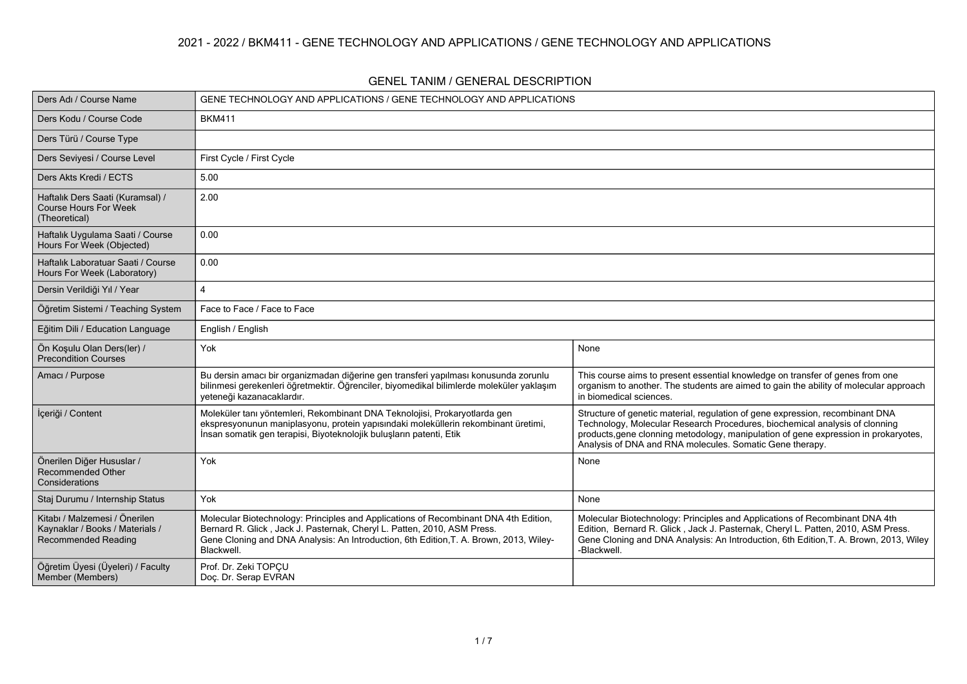#### **2021 - 2022 / BKM411 - GENE TECHNOLOGY AND APPLICATIONS / GENE TECHNOLOGY AND APPLICATIONS**

| Ders Adı / Course Name                                                                         | GENE TECHNOLOGY AND APPLICATIONS / GENE TECHNOLOGY AND APPLICATIONS                                                                                                                                                                                                     |                                                                                                                                                                                                                                                                                                                 |  |  |  |  |  |  |  |
|------------------------------------------------------------------------------------------------|-------------------------------------------------------------------------------------------------------------------------------------------------------------------------------------------------------------------------------------------------------------------------|-----------------------------------------------------------------------------------------------------------------------------------------------------------------------------------------------------------------------------------------------------------------------------------------------------------------|--|--|--|--|--|--|--|
| Ders Kodu / Course Code                                                                        | <b>BKM411</b>                                                                                                                                                                                                                                                           |                                                                                                                                                                                                                                                                                                                 |  |  |  |  |  |  |  |
| Ders Türü / Course Type                                                                        |                                                                                                                                                                                                                                                                         |                                                                                                                                                                                                                                                                                                                 |  |  |  |  |  |  |  |
| Ders Seviyesi / Course Level                                                                   | First Cycle / First Cycle                                                                                                                                                                                                                                               |                                                                                                                                                                                                                                                                                                                 |  |  |  |  |  |  |  |
| Ders Akts Kredi / ECTS                                                                         | 5.00                                                                                                                                                                                                                                                                    |                                                                                                                                                                                                                                                                                                                 |  |  |  |  |  |  |  |
| Haftalık Ders Saati (Kuramsal) /<br><b>Course Hours For Week</b><br>(Theoretical)              | 2.00                                                                                                                                                                                                                                                                    |                                                                                                                                                                                                                                                                                                                 |  |  |  |  |  |  |  |
| Haftalık Uygulama Saati / Course<br>Hours For Week (Objected)                                  | 0.00                                                                                                                                                                                                                                                                    |                                                                                                                                                                                                                                                                                                                 |  |  |  |  |  |  |  |
| Haftalık Laboratuar Saati / Course<br>Hours For Week (Laboratory)                              | 0.00                                                                                                                                                                                                                                                                    |                                                                                                                                                                                                                                                                                                                 |  |  |  |  |  |  |  |
| Dersin Verildiği Yıl / Year                                                                    | 4                                                                                                                                                                                                                                                                       |                                                                                                                                                                                                                                                                                                                 |  |  |  |  |  |  |  |
| Öğretim Sistemi / Teaching System                                                              | Face to Face / Face to Face                                                                                                                                                                                                                                             |                                                                                                                                                                                                                                                                                                                 |  |  |  |  |  |  |  |
| Eğitim Dili / Education Language                                                               | English / English                                                                                                                                                                                                                                                       |                                                                                                                                                                                                                                                                                                                 |  |  |  |  |  |  |  |
| Ön Koşulu Olan Ders(ler) /<br><b>Precondition Courses</b>                                      | Yok                                                                                                                                                                                                                                                                     | None                                                                                                                                                                                                                                                                                                            |  |  |  |  |  |  |  |
| Amacı / Purpose                                                                                | Bu dersin amacı bir organizmadan diğerine gen transferi yapılması konusunda zorunlu<br>bilinmesi gerekenleri öğretmektir. Öğrenciler, biyomedikal bilimlerde moleküler yaklaşım<br>yeteneği kazanacaklardır.                                                            | This course aims to present essential knowledge on transfer of genes from one<br>organism to another. The students are aimed to gain the ability of molecular approach<br>in biomedical sciences.                                                                                                               |  |  |  |  |  |  |  |
| İçeriği / Content                                                                              | Moleküler tanı yöntemleri, Rekombinant DNA Teknolojisi, Prokaryotlarda gen<br>ekspresyonunun maniplasyonu, protein yapısındaki moleküllerin rekombinant üretimi,<br>İnsan somatik gen terapisi, Biyoteknolojik buluşların patenti, Etik                                 | Structure of genetic material, regulation of gene expression, recombinant DNA<br>Technology, Molecular Research Procedures, biochemical analysis of clonning<br>products, gene clonning metodology, manipulation of gene expression in prokaryotes,<br>Analysis of DNA and RNA molecules. Somatic Gene therapy. |  |  |  |  |  |  |  |
| Önerilen Diğer Hususlar /<br>Recommended Other<br>Considerations                               | Yok                                                                                                                                                                                                                                                                     | None                                                                                                                                                                                                                                                                                                            |  |  |  |  |  |  |  |
| Staj Durumu / Internship Status                                                                | Yok                                                                                                                                                                                                                                                                     | None                                                                                                                                                                                                                                                                                                            |  |  |  |  |  |  |  |
| Kitabı / Malzemesi / Önerilen<br>Kaynaklar / Books / Materials /<br><b>Recommended Reading</b> | Molecular Biotechnology: Principles and Applications of Recombinant DNA 4th Edition,<br>Bernard R. Glick, Jack J. Pasternak, Cheryl L. Patten, 2010, ASM Press.<br>Gene Cloning and DNA Analysis: An Introduction, 6th Edition, T. A. Brown, 2013, Wiley-<br>Blackwell. | Molecular Biotechnology: Principles and Applications of Recombinant DNA 4th<br>Edition, Bernard R. Glick, Jack J. Pasternak, Cheryl L. Patten, 2010, ASM Press.<br>Gene Cloning and DNA Analysis: An Introduction, 6th Edition, T. A. Brown, 2013, Wiley<br>-Blackwell.                                         |  |  |  |  |  |  |  |
| Öğretim Üyesi (Üyeleri) / Faculty<br>Member (Members)                                          | Prof. Dr. Zeki TOPÇU<br>Doç. Dr. Serap EVRAN                                                                                                                                                                                                                            |                                                                                                                                                                                                                                                                                                                 |  |  |  |  |  |  |  |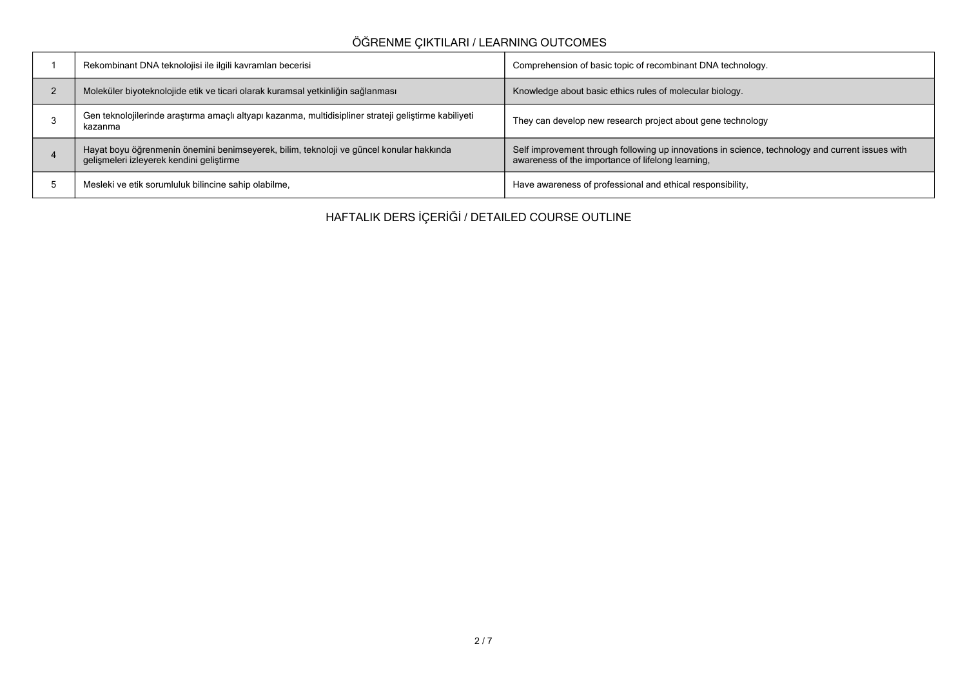## **ÖĞRENME ÇIKTILARI / LEARNING OUTCOMES**

|             | Rekombinant DNA teknolojisi ile ilgili kavramları becerisi                                                                          | Comprehension of basic topic of recombinant DNA technology.                                                                                           |
|-------------|-------------------------------------------------------------------------------------------------------------------------------------|-------------------------------------------------------------------------------------------------------------------------------------------------------|
| $\sim$<br>▵ | Moleküler biyoteknolojide etik ve ticari olarak kuramsal yetkinliğin sağlanması                                                     | Knowledge about basic ethics rules of molecular biology.                                                                                              |
|             | Gen teknolojilerinde araştırma amaçlı altyapı kazanma, multidisipliner strateji geliştirme kabiliyeti<br>kazanma                    | They can develop new research project about gene technology                                                                                           |
|             | Hayat boyu öğrenmenin önemini benimseyerek, bilim, teknoloji ve güncel konular hakkında<br>gelişmeleri izleyerek kendini geliştirme | Self improvement through following up innovations in science, technology and current issues with<br>awareness of the importance of lifelong learning, |
|             | Mesleki ve etik sorumluluk bilincine sahip olabilme,                                                                                | Have awareness of professional and ethical responsibility,                                                                                            |

**HAFTALIK DERS İÇERİĞİ / DETAILED COURSE OUTLINE**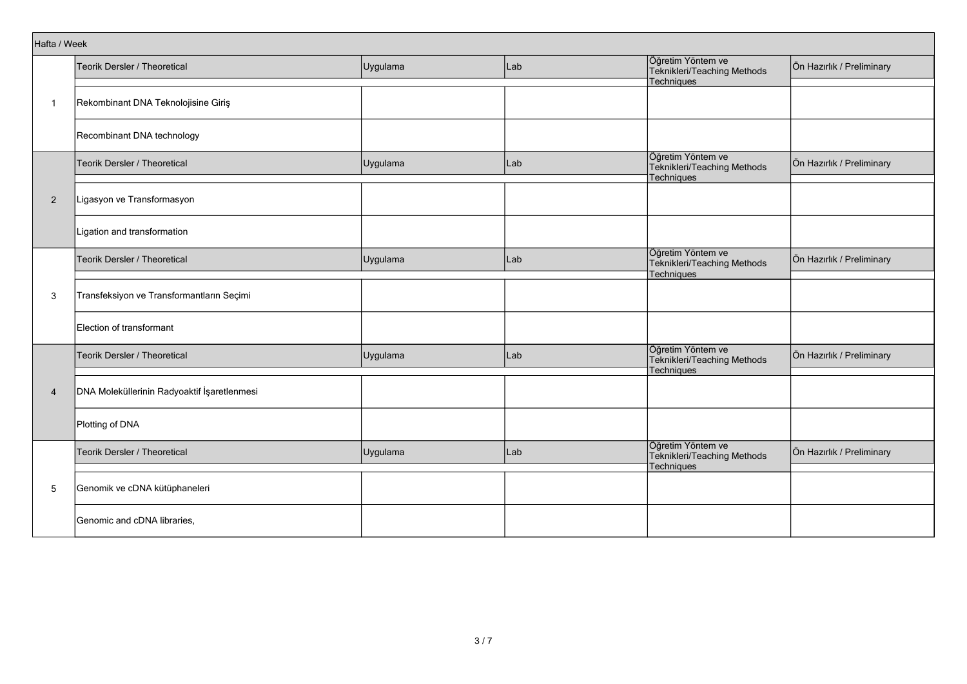| Hafta / Week   |                                             |          |     |                                                                       |                           |  |  |  |
|----------------|---------------------------------------------|----------|-----|-----------------------------------------------------------------------|---------------------------|--|--|--|
|                | Teorik Dersler / Theoretical                | Uygulama | Lab | Öğretim Yöntem ve<br>Teknikleri/Teaching Methods                      | Ön Hazırlık / Preliminary |  |  |  |
|                |                                             |          |     | Techniques                                                            |                           |  |  |  |
| $\mathbf{1}$   | Rekombinant DNA Teknolojisine Giriş         |          |     |                                                                       |                           |  |  |  |
|                | Recombinant DNA technology                  |          |     |                                                                       |                           |  |  |  |
|                | Teorik Dersler / Theoretical                | Uygulama | Lab | Öğretim Yöntem ve<br>Teknikleri/Teaching Methods<br>Techniques        | Ön Hazırlık / Preliminary |  |  |  |
| $\overline{2}$ | Ligasyon ve Transformasyon                  |          |     |                                                                       |                           |  |  |  |
|                | Ligation and transformation                 |          |     |                                                                       |                           |  |  |  |
| 3              | Teorik Dersler / Theoretical                | Uygulama | Lab | Öğretim Yöntem ve<br>Teknikleri/Teaching Methods<br>Techniques        | Ön Hazırlık / Preliminary |  |  |  |
|                | Transfeksiyon ve Transformantların Seçimi   |          |     |                                                                       |                           |  |  |  |
|                | Election of transformant                    |          |     |                                                                       |                           |  |  |  |
|                | <b>Teorik Dersler / Theoretical</b>         | Uygulama | Lab | Öğretim Yöntem ve<br>Teknikleri/Teaching Methods<br><b>Techniques</b> | Ön Hazırlık / Preliminary |  |  |  |
| $\overline{4}$ | DNA Moleküllerinin Radyoaktif İşaretlenmesi |          |     |                                                                       |                           |  |  |  |
|                | Plotting of DNA                             |          |     |                                                                       |                           |  |  |  |
|                | Teorik Dersler / Theoretical                | Uygulama | Lab | Öğretim Yöntem ve<br>Teknikleri/Teaching Methods<br>Techniques        | Ön Hazırlık / Preliminary |  |  |  |
| 5              | Genomik ve cDNA kütüphaneleri               |          |     |                                                                       |                           |  |  |  |
|                | Genomic and cDNA libraries,                 |          |     |                                                                       |                           |  |  |  |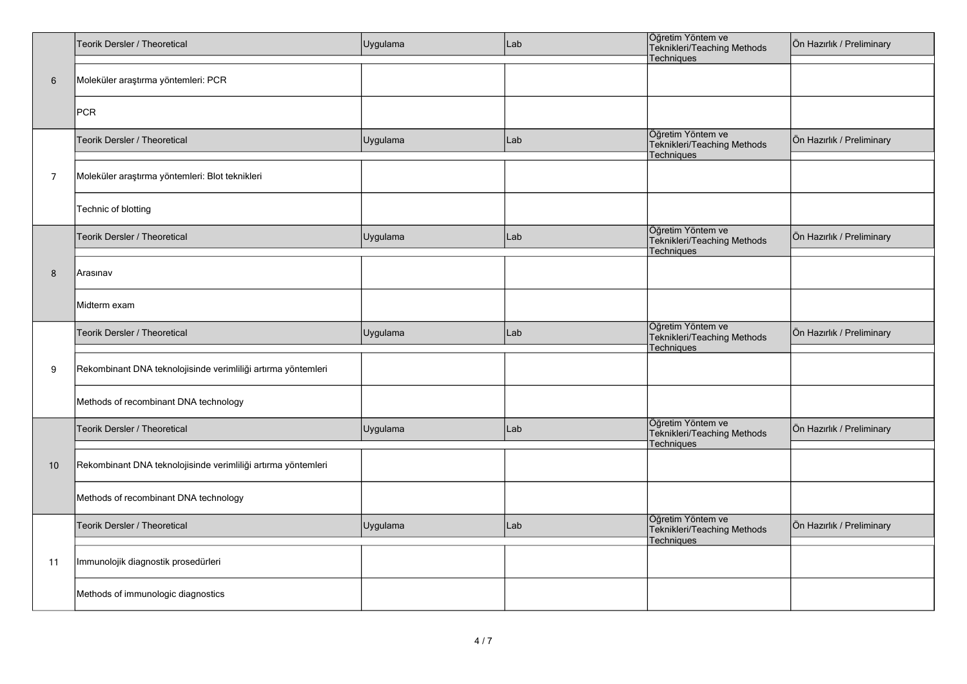|                | Teorik Dersler / Theoretical                                  | Uygulama | Lab | Öğretim Yöntem ve<br>Teknikleri/Teaching Methods<br>Techniques | Ön Hazırlık / Preliminary |  |  |  |
|----------------|---------------------------------------------------------------|----------|-----|----------------------------------------------------------------|---------------------------|--|--|--|
| $\,6\,$        | Moleküler araştırma yöntemleri: PCR                           |          |     |                                                                |                           |  |  |  |
|                | <b>PCR</b>                                                    |          |     |                                                                |                           |  |  |  |
|                | Teorik Dersler / Theoretical                                  | Uygulama | Lab | Öğretim Yöntem ve<br>Teknikleri/Teaching Methods<br>Techniques | Ön Hazırlık / Preliminary |  |  |  |
| $\overline{7}$ | Moleküler araştırma yöntemleri: Blot teknikleri               |          |     |                                                                |                           |  |  |  |
|                | Technic of blotting                                           |          |     |                                                                |                           |  |  |  |
|                | Teorik Dersler / Theoretical                                  | Uygulama | Lab | Öğretim Yöntem ve<br>Teknikleri/Teaching Methods<br>Techniques | Ön Hazırlık / Preliminary |  |  |  |
| 8              | Arasınav                                                      |          |     |                                                                |                           |  |  |  |
|                | Midterm exam                                                  |          |     |                                                                |                           |  |  |  |
|                | Teorik Dersler / Theoretical                                  | Uygulama | Lab | Öğretim Yöntem ve<br>Teknikleri/Teaching Methods<br>Techniques | Ön Hazırlık / Preliminary |  |  |  |
| 9              | Rekombinant DNA teknolojisinde verimliliği artırma yöntemleri |          |     |                                                                |                           |  |  |  |
|                | Methods of recombinant DNA technology                         |          |     |                                                                |                           |  |  |  |
|                | Teorik Dersler / Theoretical                                  | Uygulama | Lab | Öğretim Yöntem ve<br>Teknikleri/Teaching Methods<br>Techniques | Ön Hazırlık / Preliminary |  |  |  |
| 10             | Rekombinant DNA teknolojisinde verimliliği artırma yöntemleri |          |     |                                                                |                           |  |  |  |
|                | Methods of recombinant DNA technology                         |          |     |                                                                |                           |  |  |  |
|                | Teorik Dersler / Theoretical                                  | Uygulama | Lab | Öğretim Yöntem ve<br>Teknikleri/Teaching Methods<br>Techniques | Ön Hazırlık / Preliminary |  |  |  |
| 11             | Immunolojik diagnostik prosedürleri                           |          |     |                                                                |                           |  |  |  |
|                | Methods of immunologic diagnostics                            |          |     |                                                                |                           |  |  |  |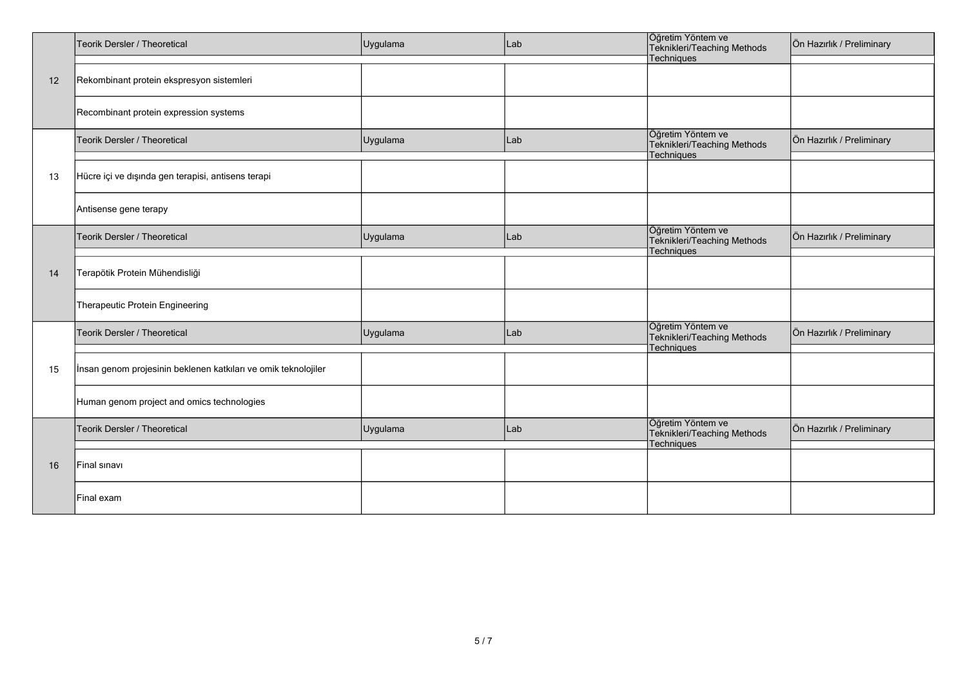|    | Teorik Dersler / Theoretical                                   | Uygulama | Lab | Öğretim Yöntem ve<br>Teknikleri/Teaching Methods               | Ön Hazırlık / Preliminary |
|----|----------------------------------------------------------------|----------|-----|----------------------------------------------------------------|---------------------------|
| 12 | Rekombinant protein ekspresyon sistemleri                      |          |     | Techniques                                                     |                           |
|    | Recombinant protein expression systems                         |          |     |                                                                |                           |
|    | Teorik Dersler / Theoretical                                   | Uygulama | Lab | Öğretim Yöntem ve<br>Teknikleri/Teaching Methods               | Ön Hazırlık / Preliminary |
|    |                                                                |          |     | Techniques                                                     |                           |
| 13 | Hücre içi ve dışında gen terapisi, antisens terapi             |          |     |                                                                |                           |
|    | Antisense gene terapy                                          |          |     |                                                                |                           |
| 14 | Teorik Dersler / Theoretical                                   | Uygulama | Lab | Öğretim Yöntem ve<br>Teknikleri/Teaching Methods<br>Techniques | Ön Hazırlık / Preliminary |
|    | Terapötik Protein Mühendisliği                                 |          |     |                                                                |                           |
|    | Therapeutic Protein Engineering                                |          |     |                                                                |                           |
|    | Teorik Dersler / Theoretical                                   | Uygulama | Lab | Öğretim Yöntem ve<br>Teknikleri/Teaching Methods<br>Techniques | Ön Hazırlık / Preliminary |
| 15 | Insan genom projesinin beklenen katkıları ve omik teknolojiler |          |     |                                                                |                           |
|    | Human genom project and omics technologies                     |          |     |                                                                |                           |
| 16 | Teorik Dersler / Theoretical                                   | Uygulama | Lab | Öğretim Yöntem ve<br>Teknikleri/Teaching Methods<br>Techniques | Ön Hazırlık / Preliminary |
|    | Final sinavi                                                   |          |     |                                                                |                           |
|    | lFinal exam                                                    |          |     |                                                                |                           |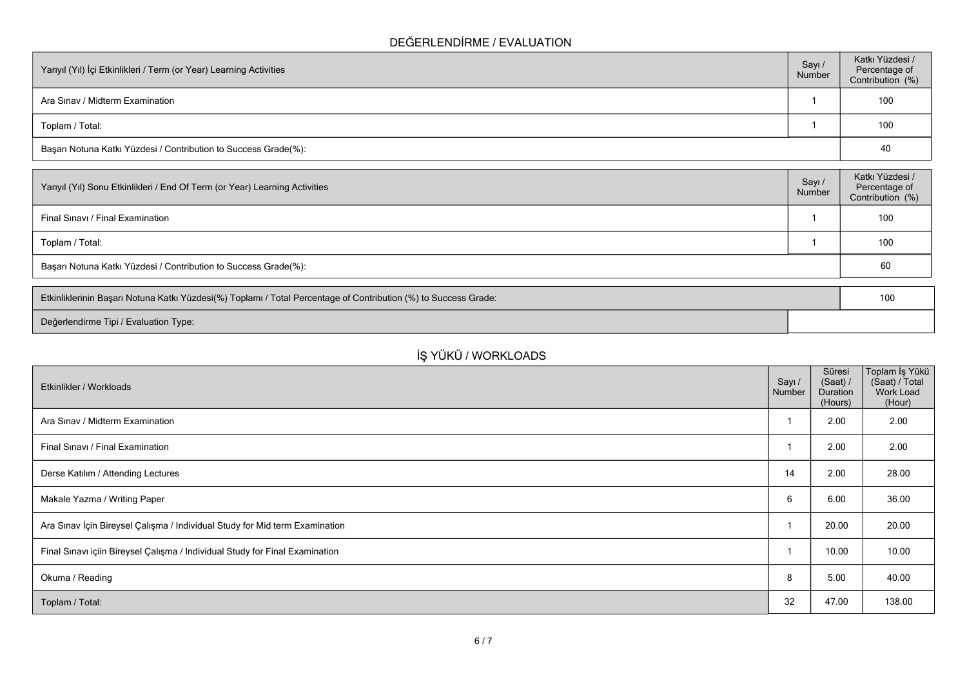### **DEĞERLENDİRME / EVALUATION**

| Yarıyıl (Yıl) İçi Etkinlikleri / Term (or Year) Learning Activities |  | Katkı Yüzdesi /<br>Percentage of<br>Contribution (%) |
|---------------------------------------------------------------------|--|------------------------------------------------------|
| Ara Sinav / Midterm Examination                                     |  | 100                                                  |
| Toplam / Total:                                                     |  | 100                                                  |
| Başarı Notuna Katkı Yüzdesi / Contribution to Success Grade(%):     |  | 40                                                   |

| Sayı /<br>Number                                                | Katkı Yüzdesi /<br>Percentage of<br>Contribution (%) |  |  |  |
|-----------------------------------------------------------------|------------------------------------------------------|--|--|--|
|                                                                 | 100                                                  |  |  |  |
|                                                                 | 100                                                  |  |  |  |
| Başarı Notuna Katkı Yüzdesi / Contribution to Success Grade(%): |                                                      |  |  |  |
|                                                                 |                                                      |  |  |  |

| Etkinliklerinin Başarı Notuna Katkı Yüzdesi(%) Toplamı / Total Percentage of Contribution (%) to Success Grade: |  |  |  |
|-----------------------------------------------------------------------------------------------------------------|--|--|--|
| Değerlendirme Tipi / Evaluation Type:                                                                           |  |  |  |

# **İŞ YÜKÜ / WORKLOADS**

| Etkinlikler / Workloads                                                      | Sayı /<br>Number | Süresi<br>(Saat) /<br>Duration<br>(Hours) | Toplam İş Yükü<br>(Saat) / Total<br>Work Load<br>(Hour) |
|------------------------------------------------------------------------------|------------------|-------------------------------------------|---------------------------------------------------------|
| Ara Sinav / Midterm Examination                                              |                  | 2.00                                      | 2.00                                                    |
| Final Sınavı / Final Examination                                             |                  | 2.00                                      | 2.00                                                    |
| Derse Katılım / Attending Lectures                                           | 14               | 2.00                                      | 28.00                                                   |
| Makale Yazma / Writing Paper                                                 | 6                | 6.00                                      | 36.00                                                   |
| Ara Sınav İçin Bireysel Çalışma / Individual Study for Mid term Examination  |                  | 20.00                                     | 20.00                                                   |
| Final Sınavı içiin Bireysel Çalışma / Individual Study for Final Examination |                  | 10.00                                     | 10.00                                                   |
| Okuma / Reading                                                              | 8                | 5.00                                      | 40.00                                                   |
| Toplam / Total:                                                              | 32               | 47.00                                     | 138.00                                                  |